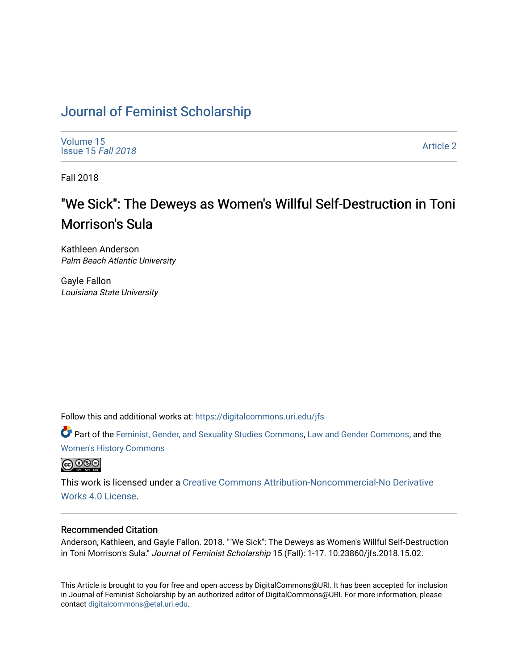### [Journal of Feminist Scholarship](https://digitalcommons.uri.edu/jfs)

[Volume 15](https://digitalcommons.uri.edu/jfs/vol15) [Issue 15](https://digitalcommons.uri.edu/jfs/vol15/iss15) Fall 2018

[Article 2](https://digitalcommons.uri.edu/jfs/vol15/iss15/2) 

Fall 2018

## "We Sick": The Deweys as Women's Willful Self-Destruction in Toni Morrison's Sula

Kathleen Anderson Palm Beach Atlantic University

Gayle Fallon Louisiana State University

Follow this and additional works at: [https://digitalcommons.uri.edu/jfs](https://digitalcommons.uri.edu/jfs?utm_source=digitalcommons.uri.edu%2Fjfs%2Fvol15%2Fiss15%2F2&utm_medium=PDF&utm_campaign=PDFCoverPages) 

Part of the [Feminist, Gender, and Sexuality Studies Commons](http://network.bepress.com/hgg/discipline/559?utm_source=digitalcommons.uri.edu%2Fjfs%2Fvol15%2Fiss15%2F2&utm_medium=PDF&utm_campaign=PDFCoverPages), [Law and Gender Commons,](http://network.bepress.com/hgg/discipline/1298?utm_source=digitalcommons.uri.edu%2Fjfs%2Fvol15%2Fiss15%2F2&utm_medium=PDF&utm_campaign=PDFCoverPages) and the [Women's History Commons](http://network.bepress.com/hgg/discipline/507?utm_source=digitalcommons.uri.edu%2Fjfs%2Fvol15%2Fiss15%2F2&utm_medium=PDF&utm_campaign=PDFCoverPages) 



This work is licensed under a [Creative Commons Attribution-Noncommercial-No Derivative](https://creativecommons.org/licenses/by-nc-nd/4.0/)  [Works 4.0 License](https://creativecommons.org/licenses/by-nc-nd/4.0/).

### Recommended Citation

Anderson, Kathleen, and Gayle Fallon. 2018. ""We Sick": The Deweys as Women's Willful Self-Destruction in Toni Morrison's Sula." Journal of Feminist Scholarship 15 (Fall): 1-17. 10.23860/jfs.2018.15.02.

This Article is brought to you for free and open access by DigitalCommons@URI. It has been accepted for inclusion in Journal of Feminist Scholarship by an authorized editor of DigitalCommons@URI. For more information, please contact [digitalcommons@etal.uri.edu.](mailto:digitalcommons@etal.uri.edu)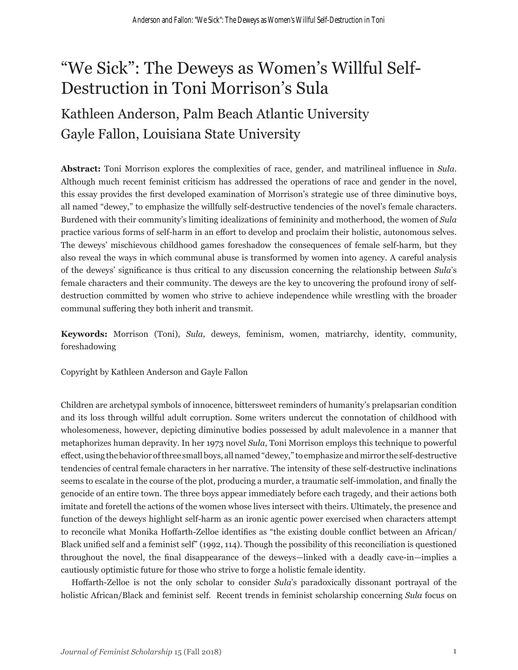# "We Sick": The Deweys as Women's Willful Self-Destruction in Toni Morrison's Sula

## Kathleen Anderson, Palm Beach Atlantic University Gayle Fallon, Louisiana State University

**Abstract:** Toni Morrison explores the complexities of race, gender, and matrilineal influence in *Sula*. Although much recent feminist criticism has addressed the operations of race and gender in the novel, this essay provides the first developed examination of Morrison's strategic use of three diminutive boys, all named "dewey," to emphasize the willfully self-destructive tendencies of the novel's female characters. Burdened with their community's limiting idealizations of femininity and motherhood, the women of *Sula* practice various forms of self-harm in an effort to develop and proclaim their holistic, autonomous selves. The deweys' mischievous childhood games foreshadow the consequences of female self-harm, but they also reveal the ways in which communal abuse is transformed by women into agency. A careful analysis of the deweys' significance is thus critical to any discussion concerning the relationship between *Sula*'s female characters and their community. The deweys are the key to uncovering the profound irony of selfdestruction committed by women who strive to achieve independence while wrestling with the broader communal suffering they both inherit and transmit.

**Keywords:** Morrison (Toni), *Sula*, deweys, feminism, women, matriarchy, identity, community, foreshadowing

Copyright by Kathleen Anderson and Gayle Fallon

Children are archetypal symbols of innocence, bittersweet reminders of humanity's prelapsarian condition and its loss through willful adult corruption. Some writers undercut the connotation of childhood with wholesomeness, however, depicting diminutive bodies possessed by adult malevolence in a manner that metaphorizes human depravity. In her 1973 novel *Sula*, Toni Morrison employs this technique to powerful effect, using the behavior of three small boys, all named "dewey," to emphasize and mirror the self-destructive tendencies of central female characters in her narrative. The intensity of these self-destructive inclinations seems to escalate in the course of the plot, producing a murder, a traumatic self-immolation, and finally the genocide of an entire town. The three boys appear immediately before each tragedy, and their actions both imitate and foretell the actions of the women whose lives intersect with theirs. Ultimately, the presence and function of the deweys highlight self-harm as an ironic agentic power exercised when characters attempt to reconcile what Monika Hoffarth-Zelloe identifies as "the existing double conflict between an African/ Black unified self and a feminist self" (1992, 114). Though the possibility of this reconciliation is questioned throughout the novel, the final disappearance of the deweys—linked with a deadly cave-in—implies a cautiously optimistic future for those who strive to forge a holistic female identity.

Hoffarth-Zelloe is not the only scholar to consider *Sula*'s paradoxically dissonant portrayal of the holistic African/Black and feminist self. Recent trends in feminist scholarship concerning *Sula* focus on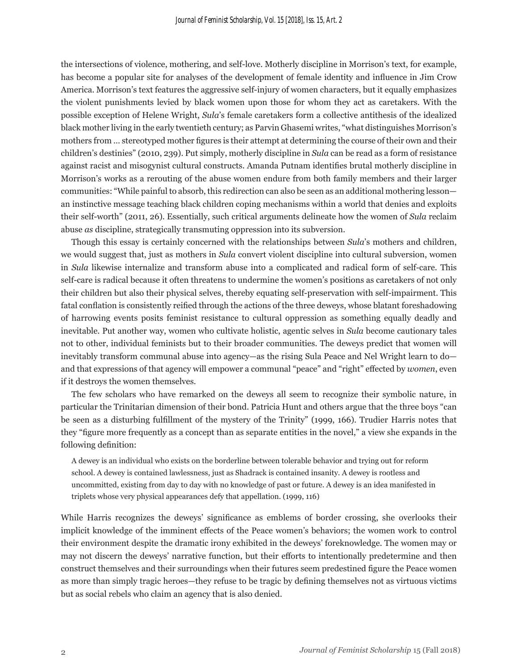the intersections of violence, mothering, and self-love. Motherly discipline in Morrison's text, for example, has become a popular site for analyses of the development of female identity and influence in Jim Crow America. Morrison's text features the aggressive self-injury of women characters, but it equally emphasizes the violent punishments levied by black women upon those for whom they act as caretakers. With the possible exception of Helene Wright, *Sula*'s female caretakers form a collective antithesis of the idealized black mother living in the early twentieth century; as Parvin Ghasemi writes, "what distinguishes Morrison's mothers from … stereotyped mother figures is their attempt at determining the course of their own and their children's destinies" (2010, 239). Put simply, motherly discipline in *Sula* can be read as a form of resistance against racist and misogynist cultural constructs. Amanda Putnam identifies brutal motherly discipline in Morrison's works as a rerouting of the abuse women endure from both family members and their larger communities: "While painful to absorb, this redirection can also be seen as an additional mothering lesson an instinctive message teaching black children coping mechanisms within a world that denies and exploits their self-worth" (2011, 26). Essentially, such critical arguments delineate how the women of *Sula* reclaim abuse *as* discipline, strategically transmuting oppression into its subversion.

Though this essay is certainly concerned with the relationships between *Sula*'s mothers and children, we would suggest that, just as mothers in *Sula* convert violent discipline into cultural subversion, women in *Sula* likewise internalize and transform abuse into a complicated and radical form of self-care. This self-care is radical because it often threatens to undermine the women's positions as caretakers of not only their children but also their physical selves, thereby equating self-preservation with self-impairment. This fatal conflation is consistently reified through the actions of the three deweys, whose blatant foreshadowing of harrowing events posits feminist resistance to cultural oppression as something equally deadly and inevitable. Put another way, women who cultivate holistic, agentic selves in *Sula* become cautionary tales not to other, individual feminists but to their broader communities. The deweys predict that women will inevitably transform communal abuse into agency—as the rising Sula Peace and Nel Wright learn to do and that expressions of that agency will empower a communal "peace" and "right" effected by *women*, even if it destroys the women themselves.

The few scholars who have remarked on the deweys all seem to recognize their symbolic nature, in particular the Trinitarian dimension of their bond. Patricia Hunt and others argue that the three boys "can be seen as a disturbing fulfillment of the mystery of the Trinity" (1999, 166). Trudier Harris notes that they "figure more frequently as a concept than as separate entities in the novel," a view she expands in the following definition:

A dewey is an individual who exists on the borderline between tolerable behavior and trying out for reform school. A dewey is contained lawlessness, just as Shadrack is contained insanity. A dewey is rootless and uncommitted, existing from day to day with no knowledge of past or future. A dewey is an idea manifested in triplets whose very physical appearances defy that appellation. (1999, 116)

While Harris recognizes the deweys' significance as emblems of border crossing, she overlooks their implicit knowledge of the imminent effects of the Peace women's behaviors; the women work to control their environment despite the dramatic irony exhibited in the deweys' foreknowledge. The women may or may not discern the deweys' narrative function, but their efforts to intentionally predetermine and then construct themselves and their surroundings when their futures seem predestined figure the Peace women as more than simply tragic heroes—they refuse to be tragic by defining themselves not as virtuous victims but as social rebels who claim an agency that is also denied.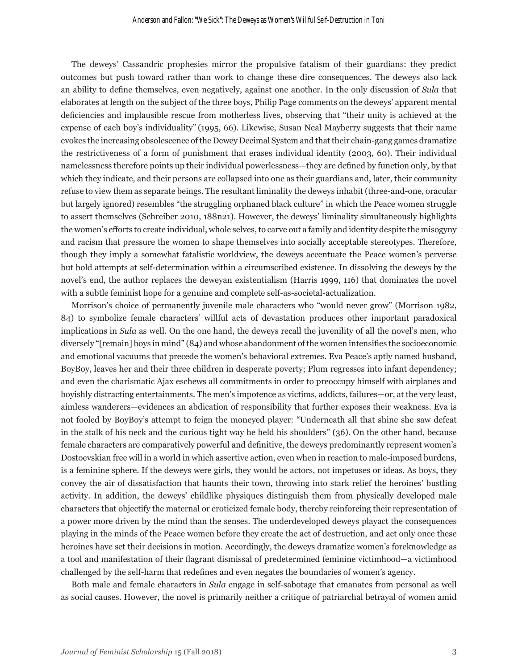The deweys' Cassandric prophesies mirror the propulsive fatalism of their guardians: they predict outcomes but push toward rather than work to change these dire consequences. The deweys also lack an ability to define themselves, even negatively, against one another. In the only discussion of *Sula* that elaborates at length on the subject of the three boys, Philip Page comments on the deweys' apparent mental deficiencies and implausible rescue from motherless lives, observing that "their unity is achieved at the expense of each boy's individuality" (1995, 66). Likewise, Susan Neal Mayberry suggests that their name evokes the increasing obsolescence of the Dewey Decimal System and that their chain-gang games dramatize the restrictiveness of a form of punishment that erases individual identity (2003, 60). Their individual namelessness therefore points up their individual powerlessness—they are defined by function only, by that which they indicate, and their persons are collapsed into one as their guardians and, later, their community refuse to view them as separate beings. The resultant liminality the deweys inhabit (three-and-one, oracular but largely ignored) resembles "the struggling orphaned black culture" in which the Peace women struggle to assert themselves (Schreiber 2010, 188n21). However, the deweys' liminality simultaneously highlights the women's efforts to create individual, whole selves, to carve out a family and identity despite the misogyny and racism that pressure the women to shape themselves into socially acceptable stereotypes. Therefore, though they imply a somewhat fatalistic worldview, the deweys accentuate the Peace women's perverse but bold attempts at self-determination within a circumscribed existence. In dissolving the deweys by the novel's end, the author replaces the deweyan existentialism (Harris 1999, 116) that dominates the novel with a subtle feminist hope for a genuine and complete self-as-societal-actualization.

Morrison's choice of permanently juvenile male characters who "would never grow" (Morrison 1982, 84) to symbolize female characters' willful acts of devastation produces other important paradoxical implications in *Sula* as well. On the one hand, the deweys recall the juvenility of all the novel's men, who diversely "[remain] boys in mind" (84) and whose abandonment of the women intensifies the socioeconomic and emotional vacuums that precede the women's behavioral extremes. Eva Peace's aptly named husband, BoyBoy, leaves her and their three children in desperate poverty; Plum regresses into infant dependency; and even the charismatic Ajax eschews all commitments in order to preoccupy himself with airplanes and boyishly distracting entertainments. The men's impotence as victims, addicts, failures—or, at the very least, aimless wanderers—evidences an abdication of responsibility that further exposes their weakness. Eva is not fooled by BoyBoy's attempt to feign the moneyed player: "Underneath all that shine she saw defeat in the stalk of his neck and the curious tight way he held his shoulders" (36). On the other hand, because female characters are comparatively powerful and definitive, the deweys predominantly represent women's Dostoevskian free will in a world in which assertive action, even when in reaction to male-imposed burdens, is a feminine sphere. If the deweys were girls, they would be actors, not impetuses or ideas. As boys, they convey the air of dissatisfaction that haunts their town, throwing into stark relief the heroines' bustling activity. In addition, the deweys' childlike physiques distinguish them from physically developed male characters that objectify the maternal or eroticized female body, thereby reinforcing their representation of a power more driven by the mind than the senses. The underdeveloped deweys playact the consequences playing in the minds of the Peace women before they create the act of destruction, and act only once these heroines have set their decisions in motion. Accordingly, the deweys dramatize women's foreknowledge as a tool and manifestation of their flagrant dismissal of predetermined feminine victimhood—a victimhood challenged by the self-harm that redefines and even negates the boundaries of women's agency.

Both male and female characters in *Sula* engage in self-sabotage that emanates from personal as well as social causes. However, the novel is primarily neither a critique of patriarchal betrayal of women amid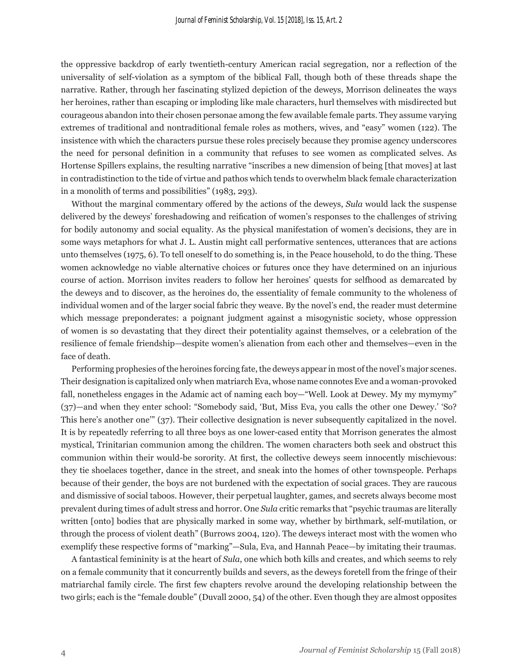the oppressive backdrop of early twentieth-century American racial segregation, nor a reflection of the universality of self-violation as a symptom of the biblical Fall, though both of these threads shape the narrative. Rather, through her fascinating stylized depiction of the deweys, Morrison delineates the ways her heroines, rather than escaping or imploding like male characters, hurl themselves with misdirected but courageous abandon into their chosen personae among the few available female parts. They assume varying extremes of traditional and nontraditional female roles as mothers, wives, and "easy" women (122). The insistence with which the characters pursue these roles precisely because they promise agency underscores the need for personal definition in a community that refuses to see women as complicated selves. As Hortense Spillers explains, the resulting narrative "inscribes a new dimension of being [that moves] at last in contradistinction to the tide of virtue and pathos which tends to overwhelm black female characterization in a monolith of terms and possibilities" (1983, 293).

Without the marginal commentary offered by the actions of the deweys, *Sula* would lack the suspense delivered by the deweys' foreshadowing and reification of women's responses to the challenges of striving for bodily autonomy and social equality. As the physical manifestation of women's decisions, they are in some ways metaphors for what J. L. Austin might call performative sentences, utterances that are actions unto themselves (1975, 6). To tell oneself to do something is, in the Peace household, to do the thing. These women acknowledge no viable alternative choices or futures once they have determined on an injurious course of action. Morrison invites readers to follow her heroines' quests for selfhood as demarcated by the deweys and to discover, as the heroines do, the essentiality of female community to the wholeness of individual women and of the larger social fabric they weave. By the novel's end, the reader must determine which message preponderates: a poignant judgment against a misogynistic society, whose oppression of women is so devastating that they direct their potentiality against themselves, or a celebration of the resilience of female friendship—despite women's alienation from each other and themselves—even in the face of death.

Performing prophesies of the heroines forcing fate, the deweys appear in most of the novel's major scenes. Their designation is capitalized only when matriarch Eva, whose name connotes Eve and a woman-provoked fall, nonetheless engages in the Adamic act of naming each boy—"Well. Look at Dewey. My my mymymy" (37)—and when they enter school: "Somebody said, 'But, Miss Eva, you calls the other one Dewey.' 'So? This here's another one'" (37). Their collective designation is never subsequently capitalized in the novel. It is by repeatedly referring to all three boys as one lower-cased entity that Morrison generates the almost mystical, Trinitarian communion among the children. The women characters both seek and obstruct this communion within their would-be sorority. At first, the collective deweys seem innocently mischievous: they tie shoelaces together, dance in the street, and sneak into the homes of other townspeople. Perhaps because of their gender, the boys are not burdened with the expectation of social graces. They are raucous and dismissive of social taboos. However, their perpetual laughter, games, and secrets always become most prevalent during times of adult stress and horror. One *Sula* critic remarks that "psychic traumas are literally written [onto] bodies that are physically marked in some way, whether by birthmark, self-mutilation, or through the process of violent death" (Burrows 2004, 120). The deweys interact most with the women who exemplify these respective forms of "marking"—Sula, Eva, and Hannah Peace—by imitating their traumas.

A fantastical femininity is at the heart of *Sula*, one which both kills and creates, and which seems to rely on a female community that it concurrently builds and severs, as the deweys foretell from the fringe of their matriarchal family circle. The first few chapters revolve around the developing relationship between the two girls; each is the "female double" (Duvall 2000, 54) of the other. Even though they are almost opposites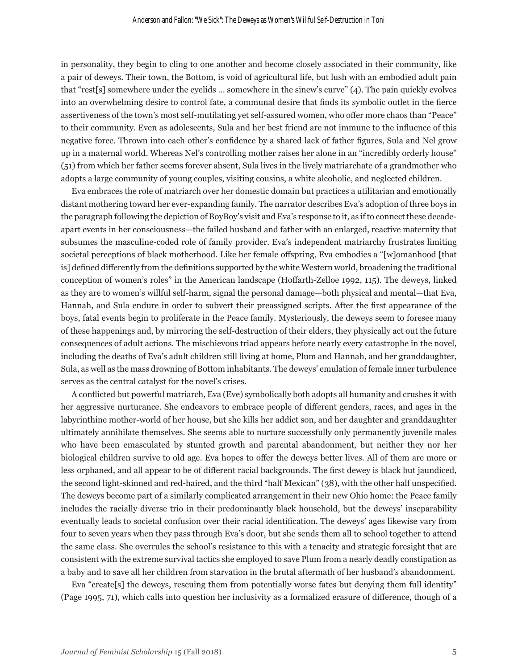in personality, they begin to cling to one another and become closely associated in their community, like a pair of deweys. Their town, the Bottom, is void of agricultural life, but lush with an embodied adult pain that "rest[s] somewhere under the eyelids … somewhere in the sinew's curve" (4). The pain quickly evolves into an overwhelming desire to control fate, a communal desire that finds its symbolic outlet in the fierce assertiveness of the town's most self-mutilating yet self-assured women, who offer more chaos than "Peace" to their community. Even as adolescents, Sula and her best friend are not immune to the influence of this negative force. Thrown into each other's confidence by a shared lack of father figures, Sula and Nel grow up in a maternal world. Whereas Nel's controlling mother raises her alone in an "incredibly orderly house" (51) from which her father seems forever absent, Sula lives in the lively matriarchate of a grandmother who adopts a large community of young couples, visiting cousins, a white alcoholic, and neglected children.

Eva embraces the role of matriarch over her domestic domain but practices a utilitarian and emotionally distant mothering toward her ever-expanding family. The narrator describes Eva's adoption of three boys in the paragraph following the depiction of BoyBoy's visit and Eva's response to it, as if to connect these decadeapart events in her consciousness—the failed husband and father with an enlarged, reactive maternity that subsumes the masculine-coded role of family provider. Eva's independent matriarchy frustrates limiting societal perceptions of black motherhood. Like her female offspring, Eva embodies a "[w]omanhood [that is] defined differently from the definitions supported by the white Western world, broadening the traditional conception of women's roles" in the American landscape (Hoffarth-Zelloe 1992, 115). The deweys, linked as they are to women's willful self-harm, signal the personal damage—both physical and mental—that Eva, Hannah, and Sula endure in order to subvert their preassigned scripts. After the first appearance of the boys, fatal events begin to proliferate in the Peace family. Mysteriously, the deweys seem to foresee many of these happenings and, by mirroring the self-destruction of their elders, they physically act out the future consequences of adult actions. The mischievous triad appears before nearly every catastrophe in the novel, including the deaths of Eva's adult children still living at home, Plum and Hannah, and her granddaughter, Sula, as well as the mass drowning of Bottom inhabitants. The deweys' emulation of female inner turbulence serves as the central catalyst for the novel's crises.

A conflicted but powerful matriarch, Eva (Eve) symbolically both adopts all humanity and crushes it with her aggressive nurturance. She endeavors to embrace people of different genders, races, and ages in the labyrinthine mother-world of her house, but she kills her addict son, and her daughter and granddaughter ultimately annihilate themselves. She seems able to nurture successfully only permanently juvenile males who have been emasculated by stunted growth and parental abandonment, but neither they nor her biological children survive to old age. Eva hopes to offer the deweys better lives. All of them are more or less orphaned, and all appear to be of different racial backgrounds. The first dewey is black but jaundiced, the second light-skinned and red-haired, and the third "half Mexican" (38), with the other half unspecified. The deweys become part of a similarly complicated arrangement in their new Ohio home: the Peace family includes the racially diverse trio in their predominantly black household, but the deweys' inseparability eventually leads to societal confusion over their racial identification. The deweys' ages likewise vary from four to seven years when they pass through Eva's door, but she sends them all to school together to attend the same class. She overrules the school's resistance to this with a tenacity and strategic foresight that are consistent with the extreme survival tactics she employed to save Plum from a nearly deadly constipation as a baby and to save all her children from starvation in the brutal aftermath of her husband's abandonment.

Eva "create [s] the deweys, rescuing them from potentially worse fates but denying them full identity" (Page 1995, 71), which calls into question her inclusivity as a formalized erasure of difference, though of a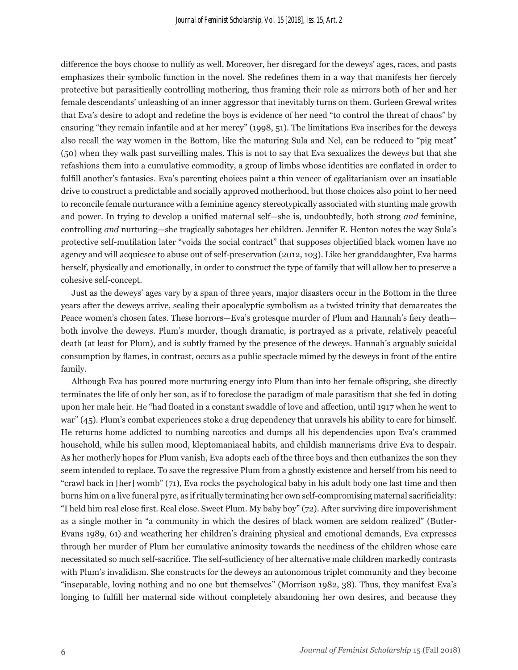difference the boys choose to nullify as well. Moreover, her disregard for the deweys' ages, races, and pasts emphasizes their symbolic function in the novel. She redefines them in a way that manifests her fiercely protective but parasitically controlling mothering, thus framing their role as mirrors both of her and her female descendants' unleashing of an inner aggressor that inevitably turns on them. Gurleen Grewal writes that Eva's desire to adopt and redefine the boys is evidence of her need "to control the threat of chaos" by ensuring "they remain infantile and at her mercy" (1998, 51). The limitations Eva inscribes for the deweys also recall the way women in the Bottom, like the maturing Sula and Nel, can be reduced to "pig meat" (50) when they walk past surveilling males. This is not to say that Eva sexualizes the deweys but that she refashions them into a cumulative commodity, a group of limbs whose identities are conflated in order to fulfill another's fantasies. Eva's parenting choices paint a thin veneer of egalitarianism over an insatiable drive to construct a predictable and socially approved motherhood, but those choices also point to her need to reconcile female nurturance with a feminine agency stereotypically associated with stunting male growth and power. In trying to develop a unified maternal self—she is, undoubtedly, both strong *and* feminine, controlling *and* nurturing—she tragically sabotages her children. Jennifer E. Henton notes the way Sula's protective self-mutilation later "voids the social contract" that supposes objectified black women have no agency and will acquiesce to abuse out of self-preservation (2012, 103). Like her granddaughter, Eva harms herself, physically and emotionally, in order to construct the type of family that will allow her to preserve a cohesive self-concept.

Just as the deweys' ages vary by a span of three years, major disasters occur in the Bottom in the three years after the deweys arrive, sealing their apocalyptic symbolism as a twisted trinity that demarcates the Peace women's chosen fates. These horrors—Eva's grotesque murder of Plum and Hannah's fiery death both involve the deweys. Plum's murder, though dramatic, is portrayed as a private, relatively peaceful death (at least for Plum), and is subtly framed by the presence of the deweys. Hannah's arguably suicidal consumption by flames, in contrast, occurs as a public spectacle mimed by the deweys in front of the entire family.

Although Eva has poured more nurturing energy into Plum than into her female offspring, she directly terminates the life of only her son, as if to foreclose the paradigm of male parasitism that she fed in doting upon her male heir. He "had floated in a constant swaddle of love and affection, until 1917 when he went to war" (45). Plum's combat experiences stoke a drug dependency that unravels his ability to care for himself. He returns home addicted to numbing narcotics and dumps all his dependencies upon Eva's crammed household, while his sullen mood, kleptomaniacal habits, and childish mannerisms drive Eva to despair. As her motherly hopes for Plum vanish, Eva adopts each of the three boys and then euthanizes the son they seem intended to replace. To save the regressive Plum from a ghostly existence and herself from his need to "crawl back in [her] womb" (71), Eva rocks the psychological baby in his adult body one last time and then burns him on a live funeral pyre, as if ritually terminating her own self-compromising maternal sacrificiality: "I held him real close first. Real close. Sweet Plum. My baby boy" (72). After surviving dire impoverishment as a single mother in "a community in which the desires of black women are seldom realized" (Butler-Evans 1989, 61) and weathering her children's draining physical and emotional demands, Eva expresses through her murder of Plum her cumulative animosity towards the neediness of the children whose care necessitated so much self-sacrifice. The self-sufficiency of her alternative male children markedly contrasts with Plum's invalidism. She constructs for the deweys an autonomous triplet community and they become "inseparable, loving nothing and no one but themselves" (Morrison 1982, 38). Thus, they manifest Eva's longing to fulfill her maternal side without completely abandoning her own desires, and because they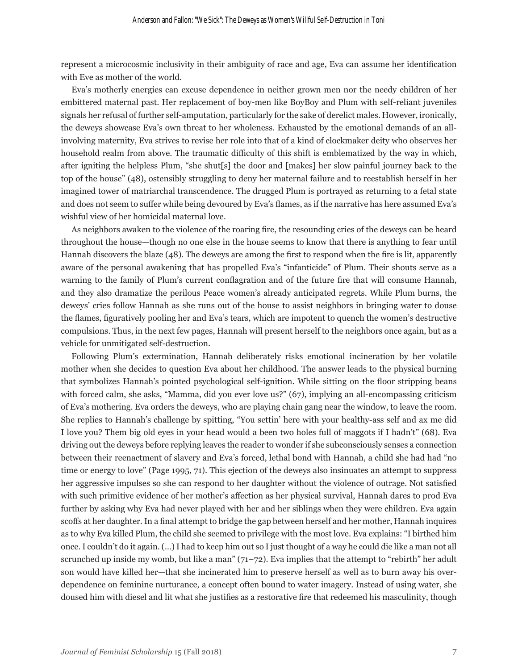represent a microcosmic inclusivity in their ambiguity of race and age, Eva can assume her identification with Eve as mother of the world.

Eva's motherly energies can excuse dependence in neither grown men nor the needy children of her embittered maternal past. Her replacement of boy-men like BoyBoy and Plum with self-reliant juveniles signals her refusal of further self-amputation, particularly for the sake of derelict males. However, ironically, the deweys showcase Eva's own threat to her wholeness. Exhausted by the emotional demands of an allinvolving maternity, Eva strives to revise her role into that of a kind of clockmaker deity who observes her household realm from above. The traumatic difficulty of this shift is emblematized by the way in which, after igniting the helpless Plum, "she shut[s] the door and [makes] her slow painful journey back to the top of the house" (48), ostensibly struggling to deny her maternal failure and to reestablish herself in her imagined tower of matriarchal transcendence. The drugged Plum is portrayed as returning to a fetal state and does not seem to suffer while being devoured by Eva's flames, as if the narrative has here assumed Eva's wishful view of her homicidal maternal love.

As neighbors awaken to the violence of the roaring fire, the resounding cries of the deweys can be heard throughout the house—though no one else in the house seems to know that there is anything to fear until Hannah discovers the blaze (48). The deweys are among the first to respond when the fire is lit, apparently aware of the personal awakening that has propelled Eva's "infanticide" of Plum. Their shouts serve as a warning to the family of Plum's current conflagration and of the future fire that will consume Hannah, and they also dramatize the perilous Peace women's already anticipated regrets. While Plum burns, the deweys' cries follow Hannah as she runs out of the house to assist neighbors in bringing water to douse the flames, figuratively pooling her and Eva's tears, which are impotent to quench the women's destructive compulsions. Thus, in the next few pages, Hannah will present herself to the neighbors once again, but as a vehicle for unmitigated self-destruction.

Following Plum's extermination, Hannah deliberately risks emotional incineration by her volatile mother when she decides to question Eva about her childhood. The answer leads to the physical burning that symbolizes Hannah's pointed psychological self-ignition. While sitting on the floor stripping beans with forced calm, she asks, "Mamma, did you ever love us?" (67), implying an all-encompassing criticism of Eva's mothering. Eva orders the deweys, who are playing chain gang near the window, to leave the room. She replies to Hannah's challenge by spitting, "You settin' here with your healthy-ass self and ax me did I love you? Them big old eyes in your head would a been two holes full of maggots if I hadn't" (68). Eva driving out the deweys before replying leaves the reader to wonder if she subconsciously senses a connection between their reenactment of slavery and Eva's forced, lethal bond with Hannah, a child she had had "no time or energy to love" (Page 1995, 71). This ejection of the deweys also insinuates an attempt to suppress her aggressive impulses so she can respond to her daughter without the violence of outrage. Not satisfied with such primitive evidence of her mother's affection as her physical survival, Hannah dares to prod Eva further by asking why Eva had never played with her and her siblings when they were children. Eva again scoffs at her daughter. In a final attempt to bridge the gap between herself and her mother, Hannah inquires as to why Eva killed Plum, the child she seemed to privilege with the most love. Eva explains: "I birthed him once. I couldn't do it again. (…) I had to keep him out so I just thought of a way he could die like a man not all scrunched up inside my womb, but like a man"  $(71-72)$ . Eva implies that the attempt to "rebirth" her adult son would have killed her—that she incinerated him to preserve herself as well as to burn away his overdependence on feminine nurturance, a concept often bound to water imagery. Instead of using water, she doused him with diesel and lit what she justifies as a restorative fire that redeemed his masculinity, though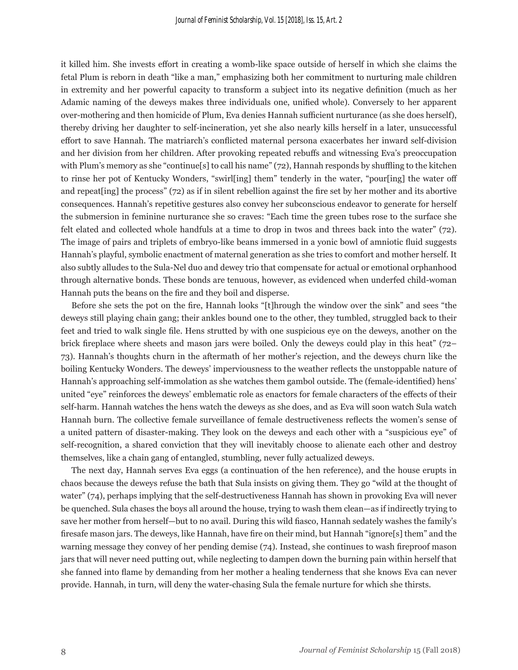it killed him. She invests effort in creating a womb-like space outside of herself in which she claims the fetal Plum is reborn in death "like a man," emphasizing both her commitment to nurturing male children in extremity and her powerful capacity to transform a subject into its negative definition (much as her Adamic naming of the deweys makes three individuals one, unified whole). Conversely to her apparent over-mothering and then homicide of Plum, Eva denies Hannah sufficient nurturance (as she does herself), thereby driving her daughter to self-incineration, yet she also nearly kills herself in a later, unsuccessful effort to save Hannah. The matriarch's conflicted maternal persona exacerbates her inward self-division and her division from her children. After provoking repeated rebuffs and witnessing Eva's preoccupation with Plum's memory as she "continue[s] to call his name" (72), Hannah responds by shuffling to the kitchen to rinse her pot of Kentucky Wonders, "swirl[ing] them" tenderly in the water, "pour[ing] the water off and repeat[ing] the process" (72) as if in silent rebellion against the fire set by her mother and its abortive consequences. Hannah's repetitive gestures also convey her subconscious endeavor to generate for herself the submersion in feminine nurturance she so craves: "Each time the green tubes rose to the surface she felt elated and collected whole handfuls at a time to drop in twos and threes back into the water" (72). The image of pairs and triplets of embryo-like beans immersed in a yonic bowl of amniotic fluid suggests Hannah's playful, symbolic enactment of maternal generation as she tries to comfort and mother herself. It also subtly alludes to the Sula-Nel duo and dewey trio that compensate for actual or emotional orphanhood through alternative bonds. These bonds are tenuous, however, as evidenced when underfed child-woman Hannah puts the beans on the fire and they boil and disperse.

Before she sets the pot on the fire, Hannah looks "[t]hrough the window over the sink" and sees "the deweys still playing chain gang; their ankles bound one to the other, they tumbled, struggled back to their feet and tried to walk single file. Hens strutted by with one suspicious eye on the deweys, another on the brick fireplace where sheets and mason jars were boiled. Only the deweys could play in this heat" (72– 73). Hannah's thoughts churn in the aftermath of her mother's rejection, and the deweys churn like the boiling Kentucky Wonders. The deweys' imperviousness to the weather reflects the unstoppable nature of Hannah's approaching self-immolation as she watches them gambol outside. The (female-identified) hens' united "eye" reinforces the deweys' emblematic role as enactors for female characters of the effects of their self-harm. Hannah watches the hens watch the deweys as she does, and as Eva will soon watch Sula watch Hannah burn. The collective female surveillance of female destructiveness reflects the women's sense of a united pattern of disaster-making. They look on the deweys and each other with a "suspicious eye" of self-recognition, a shared conviction that they will inevitably choose to alienate each other and destroy themselves, like a chain gang of entangled, stumbling, never fully actualized deweys.

The next day, Hannah serves Eva eggs (a continuation of the hen reference), and the house erupts in chaos because the deweys refuse the bath that Sula insists on giving them. They go "wild at the thought of water" (74), perhaps implying that the self-destructiveness Hannah has shown in provoking Eva will never be quenched. Sula chases the boys all around the house, trying to wash them clean—as if indirectly trying to save her mother from herself—but to no avail. During this wild fiasco, Hannah sedately washes the family's firesafe mason jars. The deweys, like Hannah, have fire on their mind, but Hannah "ignore[s] them" and the warning message they convey of her pending demise (74). Instead, she continues to wash fireproof mason jars that will never need putting out, while neglecting to dampen down the burning pain within herself that she fanned into flame by demanding from her mother a healing tenderness that she knows Eva can never provide. Hannah, in turn, will deny the water-chasing Sula the female nurture for which she thirsts.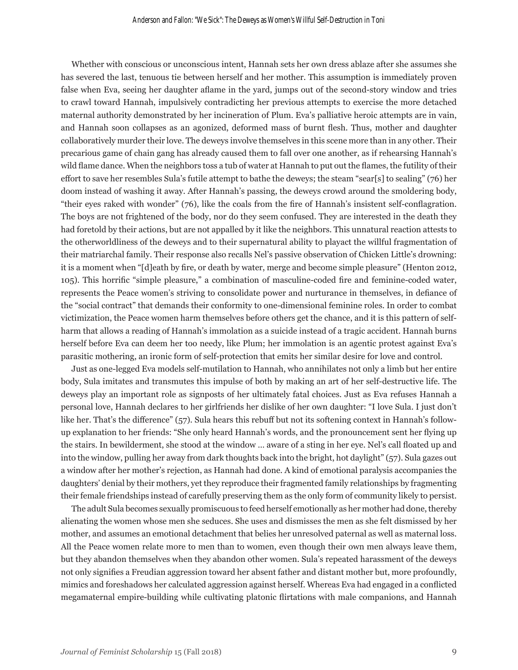Whether with conscious or unconscious intent, Hannah sets her own dress ablaze after she assumes she has severed the last, tenuous tie between herself and her mother. This assumption is immediately proven false when Eva, seeing her daughter aflame in the yard, jumps out of the second-story window and tries to crawl toward Hannah, impulsively contradicting her previous attempts to exercise the more detached maternal authority demonstrated by her incineration of Plum. Eva's palliative heroic attempts are in vain, and Hannah soon collapses as an agonized, deformed mass of burnt flesh. Thus, mother and daughter collaboratively murder their love. The deweys involve themselves in this scene more than in any other. Their precarious game of chain gang has already caused them to fall over one another, as if rehearsing Hannah's wild flame dance. When the neighbors toss a tub of water at Hannah to put out the flames, the futility of their effort to save her resembles Sula's futile attempt to bathe the deweys; the steam "sear[s] to sealing" (76) her doom instead of washing it away. After Hannah's passing, the deweys crowd around the smoldering body, "their eyes raked with wonder" (76), like the coals from the fire of Hannah's insistent self-conflagration. The boys are not frightened of the body, nor do they seem confused. They are interested in the death they had foretold by their actions, but are not appalled by it like the neighbors. This unnatural reaction attests to the otherworldliness of the deweys and to their supernatural ability to playact the willful fragmentation of their matriarchal family. Their response also recalls Nel's passive observation of Chicken Little's drowning: it is a moment when "[d]eath by fire, or death by water, merge and become simple pleasure" (Henton 2012, 105). This horrific "simple pleasure," a combination of masculine-coded fire and feminine-coded water, represents the Peace women's striving to consolidate power and nurturance in themselves, in defiance of the "social contract" that demands their conformity to one-dimensional feminine roles. In order to combat victimization, the Peace women harm themselves before others get the chance, and it is this pattern of selfharm that allows a reading of Hannah's immolation as a suicide instead of a tragic accident. Hannah burns herself before Eva can deem her too needy, like Plum; her immolation is an agentic protest against Eva's parasitic mothering, an ironic form of self-protection that emits her similar desire for love and control.

Just as one-legged Eva models self-mutilation to Hannah, who annihilates not only a limb but her entire body, Sula imitates and transmutes this impulse of both by making an art of her self-destructive life. The deweys play an important role as signposts of her ultimately fatal choices. Just as Eva refuses Hannah a personal love, Hannah declares to her girlfriends her dislike of her own daughter: "I love Sula. I just don't like her. That's the difference" (57). Sula hears this rebuff but not its softening context in Hannah's followup explanation to her friends: "She only heard Hannah's words, and the pronouncement sent her flying up the stairs. In bewilderment, she stood at the window … aware of a sting in her eye. Nel's call floated up and into the window, pulling her away from dark thoughts back into the bright, hot daylight" (57). Sula gazes out a window after her mother's rejection, as Hannah had done. A kind of emotional paralysis accompanies the daughters' denial by their mothers, yet they reproduce their fragmented family relationships by fragmenting their female friendships instead of carefully preserving them as the only form of community likely to persist.

The adult Sula becomes sexually promiscuous to feed herself emotionally as her mother had done, thereby alienating the women whose men she seduces. She uses and dismisses the men as she felt dismissed by her mother, and assumes an emotional detachment that belies her unresolved paternal as well as maternal loss. All the Peace women relate more to men than to women, even though their own men always leave them, but they abandon themselves when they abandon other women. Sula's repeated harassment of the deweys not only signifies a Freudian aggression toward her absent father and distant mother but, more profoundly, mimics and foreshadows her calculated aggression against herself. Whereas Eva had engaged in a conflicted megamaternal empire-building while cultivating platonic flirtations with male companions, and Hannah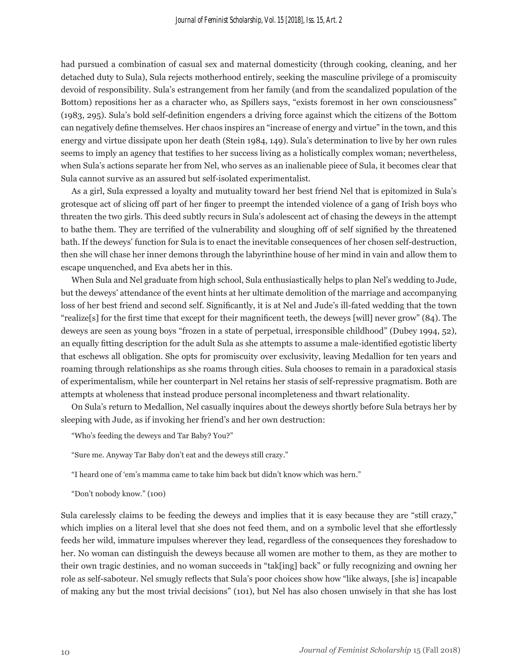had pursued a combination of casual sex and maternal domesticity (through cooking, cleaning, and her detached duty to Sula), Sula rejects motherhood entirely, seeking the masculine privilege of a promiscuity devoid of responsibility. Sula's estrangement from her family (and from the scandalized population of the Bottom) repositions her as a character who, as Spillers says, "exists foremost in her own consciousness" (1983, 295). Sula's bold self-definition engenders a driving force against which the citizens of the Bottom can negatively define themselves. Her chaos inspires an "increase of energy and virtue" in the town, and this energy and virtue dissipate upon her death (Stein 1984, 149). Sula's determination to live by her own rules seems to imply an agency that testifies to her success living as a holistically complex woman; nevertheless, when Sula's actions separate her from Nel, who serves as an inalienable piece of Sula, it becomes clear that Sula cannot survive as an assured but self-isolated experimentalist.

As a girl, Sula expressed a loyalty and mutuality toward her best friend Nel that is epitomized in Sula's grotesque act of slicing off part of her finger to preempt the intended violence of a gang of Irish boys who threaten the two girls. This deed subtly recurs in Sula's adolescent act of chasing the deweys in the attempt to bathe them. They are terrified of the vulnerability and sloughing off of self signified by the threatened bath. If the deweys' function for Sula is to enact the inevitable consequences of her chosen self-destruction, then she will chase her inner demons through the labyrinthine house of her mind in vain and allow them to escape unquenched, and Eva abets her in this.

When Sula and Nel graduate from high school, Sula enthusiastically helps to plan Nel's wedding to Jude, but the deweys' attendance of the event hints at her ultimate demolition of the marriage and accompanying loss of her best friend and second self. Significantly, it is at Nel and Jude's ill-fated wedding that the town "realize[s] for the first time that except for their magnificent teeth, the deweys [will] never grow" (84). The deweys are seen as young boys "frozen in a state of perpetual, irresponsible childhood" (Dubey 1994, 52), an equally fitting description for the adult Sula as she attempts to assume a male-identified egotistic liberty that eschews all obligation. She opts for promiscuity over exclusivity, leaving Medallion for ten years and roaming through relationships as she roams through cities. Sula chooses to remain in a paradoxical stasis of experimentalism, while her counterpart in Nel retains her stasis of self-repressive pragmatism. Both are attempts at wholeness that instead produce personal incompleteness and thwart relationality.

On Sula's return to Medallion, Nel casually inquires about the deweys shortly before Sula betrays her by sleeping with Jude, as if invoking her friend's and her own destruction:

"Who's feeding the deweys and Tar Baby? You?"

"Sure me. Anyway Tar Baby don't eat and the deweys still crazy."

"I heard one of 'em's mamma came to take him back but didn't know which was hern."

"Don't nobody know." (100)

Sula carelessly claims to be feeding the deweys and implies that it is easy because they are "still crazy," which implies on a literal level that she does not feed them, and on a symbolic level that she effortlessly feeds her wild, immature impulses wherever they lead, regardless of the consequences they foreshadow to her. No woman can distinguish the deweys because all women are mother to them, as they are mother to their own tragic destinies, and no woman succeeds in "tak[ing] back" or fully recognizing and owning her role as self-saboteur. Nel smugly reflects that Sula's poor choices show how "like always, [she is] incapable of making any but the most trivial decisions" (101), but Nel has also chosen unwisely in that she has lost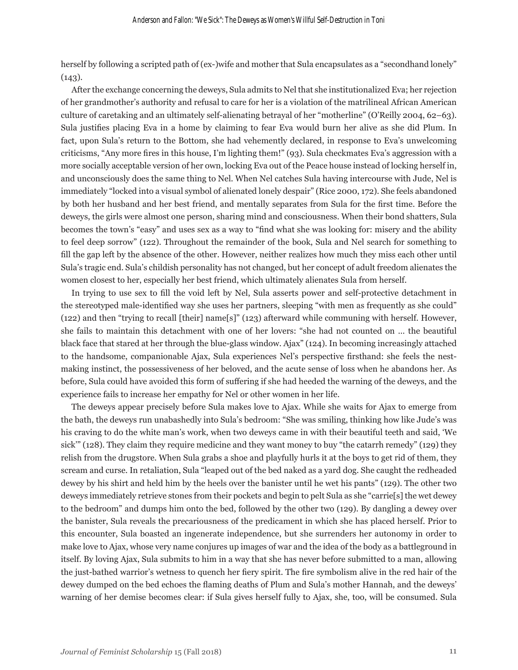herself by following a scripted path of (ex-)wife and mother that Sula encapsulates as a "secondhand lonely"  $(143)$ .

After the exchange concerning the deweys, Sula admits to Nel that she institutionalized Eva; her rejection of her grandmother's authority and refusal to care for her is a violation of the matrilineal African American culture of caretaking and an ultimately self-alienating betrayal of her "motherline" (O'Reilly 2004, 62–63). Sula justifies placing Eva in a home by claiming to fear Eva would burn her alive as she did Plum. In fact, upon Sula's return to the Bottom, she had vehemently declared, in response to Eva's unwelcoming criticisms, "Any more fires in this house, I'm lighting them!" (93). Sula checkmates Eva's aggression with a more socially acceptable version of her own, locking Eva out of the Peace house instead of locking herself in, and unconsciously does the same thing to Nel. When Nel catches Sula having intercourse with Jude, Nel is immediately "locked into a visual symbol of alienated lonely despair" (Rice 2000, 172). She feels abandoned by both her husband and her best friend, and mentally separates from Sula for the first time. Before the deweys, the girls were almost one person, sharing mind and consciousness. When their bond shatters, Sula becomes the town's "easy" and uses sex as a way to "find what she was looking for: misery and the ability to feel deep sorrow" (122). Throughout the remainder of the book, Sula and Nel search for something to fill the gap left by the absence of the other. However, neither realizes how much they miss each other until Sula's tragic end. Sula's childish personality has not changed, but her concept of adult freedom alienates the women closest to her, especially her best friend, which ultimately alienates Sula from herself.

In trying to use sex to fill the void left by Nel, Sula asserts power and self-protective detachment in the stereotyped male-identified way she uses her partners, sleeping "with men as frequently as she could" (122) and then "trying to recall [their] name[s]" (123) afterward while communing with herself. However, she fails to maintain this detachment with one of her lovers: "she had not counted on … the beautiful black face that stared at her through the blue-glass window. Ajax" (124). In becoming increasingly attached to the handsome, companionable Ajax, Sula experiences Nel's perspective firsthand: she feels the nestmaking instinct, the possessiveness of her beloved, and the acute sense of loss when he abandons her. As before, Sula could have avoided this form of suffering if she had heeded the warning of the deweys, and the experience fails to increase her empathy for Nel or other women in her life.

The deweys appear precisely before Sula makes love to Ajax. While she waits for Ajax to emerge from the bath, the deweys run unabashedly into Sula's bedroom: "She was smiling, thinking how like Jude's was his craving to do the white man's work, when two deweys came in with their beautiful teeth and said, 'We sick'" (128). They claim they require medicine and they want money to buy "the catarrh remedy" (129) they relish from the drugstore. When Sula grabs a shoe and playfully hurls it at the boys to get rid of them, they scream and curse. In retaliation, Sula "leaped out of the bed naked as a yard dog. She caught the redheaded dewey by his shirt and held him by the heels over the banister until he wet his pants" (129). The other two deweys immediately retrieve stones from their pockets and begin to pelt Sula as she "carrie[s] the wet dewey to the bedroom" and dumps him onto the bed, followed by the other two (129). By dangling a dewey over the banister, Sula reveals the precariousness of the predicament in which she has placed herself. Prior to this encounter, Sula boasted an ingenerate independence, but she surrenders her autonomy in order to make love to Ajax, whose very name conjures up images of war and the idea of the body as a battleground in itself. By loving Ajax, Sula submits to him in a way that she has never before submitted to a man, allowing the just-bathed warrior's wetness to quench her fiery spirit. The fire symbolism alive in the red hair of the dewey dumped on the bed echoes the flaming deaths of Plum and Sula's mother Hannah, and the deweys' warning of her demise becomes clear: if Sula gives herself fully to Ajax, she, too, will be consumed. Sula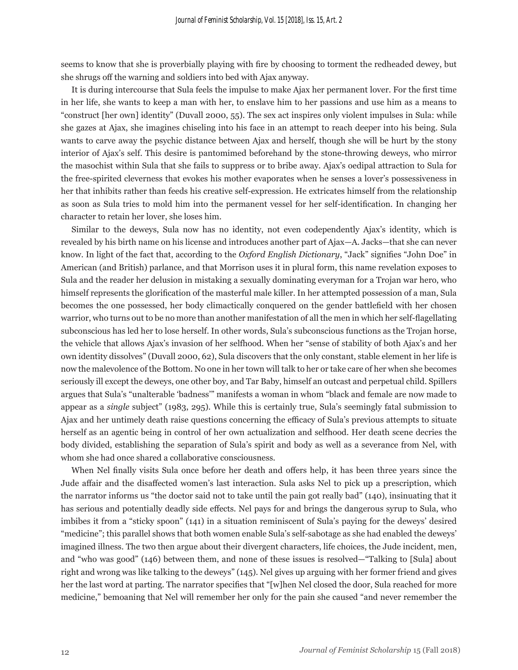seems to know that she is proverbially playing with fire by choosing to torment the redheaded dewey, but she shrugs off the warning and soldiers into bed with Ajax anyway.

It is during intercourse that Sula feels the impulse to make Ajax her permanent lover. For the first time in her life, she wants to keep a man with her, to enslave him to her passions and use him as a means to "construct [her own] identity" (Duvall 2000, 55). The sex act inspires only violent impulses in Sula: while she gazes at Ajax, she imagines chiseling into his face in an attempt to reach deeper into his being. Sula wants to carve away the psychic distance between Ajax and herself, though she will be hurt by the stony interior of Ajax's self. This desire is pantomimed beforehand by the stone-throwing deweys, who mirror the masochist within Sula that she fails to suppress or to bribe away. Ajax's oedipal attraction to Sula for the free-spirited cleverness that evokes his mother evaporates when he senses a lover's possessiveness in her that inhibits rather than feeds his creative self-expression. He extricates himself from the relationship as soon as Sula tries to mold him into the permanent vessel for her self-identification. In changing her character to retain her lover, she loses him.

Similar to the deweys, Sula now has no identity, not even codependently Ajax's identity, which is revealed by his birth name on his license and introduces another part of Ajax—A. Jacks—that she can never know. In light of the fact that, according to the *Oxford English Dictionary*, "Jack" signifies "John Doe" in American (and British) parlance, and that Morrison uses it in plural form, this name revelation exposes to Sula and the reader her delusion in mistaking a sexually dominating everyman for a Trojan war hero, who himself represents the glorification of the masterful male killer. In her attempted possession of a man, Sula becomes the one possessed, her body climactically conquered on the gender battlefield with her chosen warrior, who turns out to be no more than another manifestation of all the men in which her self-flagellating subconscious has led her to lose herself. In other words, Sula's subconscious functions as the Trojan horse, the vehicle that allows Ajax's invasion of her selfhood. When her "sense of stability of both Ajax's and her own identity dissolves" (Duvall 2000, 62), Sula discovers that the only constant, stable element in her life is now the malevolence of the Bottom. No one in her town will talk to her or take care of her when she becomes seriously ill except the deweys, one other boy, and Tar Baby, himself an outcast and perpetual child. Spillers argues that Sula's "unalterable 'badness'" manifests a woman in whom "black and female are now made to appear as a *single* subject" (1983, 295). While this is certainly true, Sula's seemingly fatal submission to Ajax and her untimely death raise questions concerning the efficacy of Sula's previous attempts to situate herself as an agentic being in control of her own actualization and selfhood. Her death scene decries the body divided, establishing the separation of Sula's spirit and body as well as a severance from Nel, with whom she had once shared a collaborative consciousness.

When Nel finally visits Sula once before her death and offers help, it has been three years since the Jude affair and the disaffected women's last interaction. Sula asks Nel to pick up a prescription, which the narrator informs us "the doctor said not to take until the pain got really bad" (140), insinuating that it has serious and potentially deadly side effects. Nel pays for and brings the dangerous syrup to Sula, who imbibes it from a "sticky spoon" (141) in a situation reminiscent of Sula's paying for the deweys' desired "medicine"; this parallel shows that both women enable Sula's self-sabotage as she had enabled the deweys' imagined illness. The two then argue about their divergent characters, life choices, the Jude incident, men, and "who was good" (146) between them, and none of these issues is resolved—"Talking to [Sula] about right and wrong was like talking to the deweys" (145). Nel gives up arguing with her former friend and gives her the last word at parting. The narrator specifies that "[w]hen Nel closed the door, Sula reached for more medicine," bemoaning that Nel will remember her only for the pain she caused "and never remember the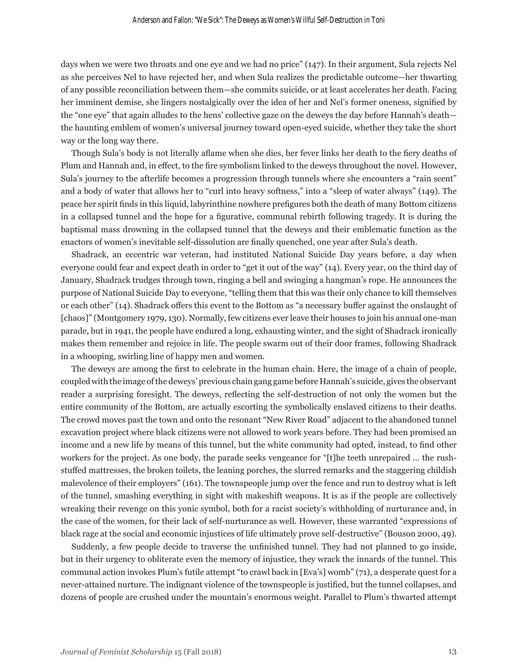days when we were two throats and one eye and we had no price" (147). In their argument, Sula rejects Nel as she perceives Nel to have rejected her, and when Sula realizes the predictable outcome—her thwarting of any possible reconciliation between them—she commits suicide, or at least accelerates her death. Facing her imminent demise, she lingers nostalgically over the idea of her and Nel's former oneness, signified by the "one eye" that again alludes to the hens' collective gaze on the deweys the day before Hannah's death the haunting emblem of women's universal journey toward open-eyed suicide, whether they take the short way or the long way there.

Though Sula's body is not literally aflame when she dies, her fever links her death to the fiery deaths of Plum and Hannah and, in effect, to the fire symbolism linked to the deweys throughout the novel. However, Sula's journey to the afterlife becomes a progression through tunnels where she encounters a "rain scent" and a body of water that allows her to "curl into heavy softness," into a "sleep of water always" (149). The peace her spirit finds in this liquid, labyrinthine nowhere prefigures both the death of many Bottom citizens in a collapsed tunnel and the hope for a figurative, communal rebirth following tragedy. It is during the baptismal mass drowning in the collapsed tunnel that the deweys and their emblematic function as the enactors of women's inevitable self-dissolution are finally quenched, one year after Sula's death.

Shadrack, an eccentric war veteran, had instituted National Suicide Day years before, a day when everyone could fear and expect death in order to "get it out of the way" (14). Every year, on the third day of January, Shadrack trudges through town, ringing a bell and swinging a hangman's rope. He announces the purpose of National Suicide Day to everyone, "telling them that this was their only chance to kill themselves or each other" (14). Shadrack offers this event to the Bottom as "a necessary buffer against the onslaught of [chaos]" (Montgomery 1979, 130). Normally, few citizens ever leave their houses to join his annual one-man parade, but in 1941, the people have endured a long, exhausting winter, and the sight of Shadrack ironically makes them remember and rejoice in life. The people swarm out of their door frames, following Shadrack in a whooping, swirling line of happy men and women.

The deweys are among the first to celebrate in the human chain. Here, the image of a chain of people, coupled with the image of the deweys' previous chain gang game before Hannah's suicide, gives the observant reader a surprising foresight. The deweys, reflecting the self-destruction of not only the women but the entire community of the Bottom, are actually escorting the symbolically enslaved citizens to their deaths. The crowd moves past the town and onto the resonant "New River Road" adjacent to the abandoned tunnel excavation project where black citizens were not allowed to work years before. They had been promised an income and a new life by means of this tunnel, but the white community had opted, instead, to find other workers for the project. As one body, the parade seeks vengeance for "[t]he teeth unrepaired … the rushstuffed mattresses, the broken toilets, the leaning porches, the slurred remarks and the staggering childish malevolence of their employers" (161). The townspeople jump over the fence and run to destroy what is left of the tunnel, smashing everything in sight with makeshift weapons. It is as if the people are collectively wreaking their revenge on this yonic symbol, both for a racist society's withholding of nurturance and, in the case of the women, for their lack of self-nurturance as well. However, these warranted "expressions of black rage at the social and economic injustices of life ultimately prove self-destructive" (Bouson 2000, 49).

Suddenly, a few people decide to traverse the unfinished tunnel. They had not planned to go inside, but in their urgency to obliterate even the memory of injustice, they wrack the innards of the tunnel. This communal action invokes Plum's futile attempt "to crawl back in [Eva's] womb" (71), a desperate quest for a never-attained nurture. The indignant violence of the townspeople is justified, but the tunnel collapses, and dozens of people are crushed under the mountain's enormous weight. Parallel to Plum's thwarted attempt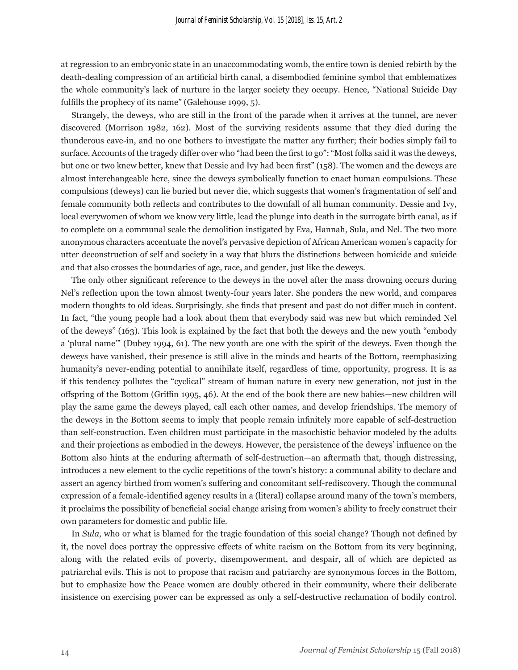at regression to an embryonic state in an unaccommodating womb, the entire town is denied rebirth by the death-dealing compression of an artificial birth canal, a disembodied feminine symbol that emblematizes the whole community's lack of nurture in the larger society they occupy. Hence, "National Suicide Day fulfills the prophecy of its name" (Galehouse 1999, 5).

Strangely, the deweys, who are still in the front of the parade when it arrives at the tunnel, are never discovered (Morrison 1982, 162). Most of the surviving residents assume that they died during the thunderous cave-in, and no one bothers to investigate the matter any further; their bodies simply fail to surface. Accounts of the tragedy differ over who "had been the first to go": "Most folks said it was the deweys, but one or two knew better, knew that Dessie and Ivy had been first" (158). The women and the deweys are almost interchangeable here, since the deweys symbolically function to enact human compulsions. These compulsions (deweys) can lie buried but never die, which suggests that women's fragmentation of self and female community both reflects and contributes to the downfall of all human community. Dessie and Ivy, local everywomen of whom we know very little, lead the plunge into death in the surrogate birth canal, as if to complete on a communal scale the demolition instigated by Eva, Hannah, Sula, and Nel. The two more anonymous characters accentuate the novel's pervasive depiction of African American women's capacity for utter deconstruction of self and society in a way that blurs the distinctions between homicide and suicide and that also crosses the boundaries of age, race, and gender, just like the deweys.

The only other significant reference to the deweys in the novel after the mass drowning occurs during Nel's reflection upon the town almost twenty-four years later. She ponders the new world, and compares modern thoughts to old ideas. Surprisingly, she finds that present and past do not differ much in content. In fact, "the young people had a look about them that everybody said was new but which reminded Nel of the deweys" (163). This look is explained by the fact that both the deweys and the new youth "embody a 'plural name'" (Dubey 1994, 61). The new youth are one with the spirit of the deweys. Even though the deweys have vanished, their presence is still alive in the minds and hearts of the Bottom, reemphasizing humanity's never-ending potential to annihilate itself, regardless of time, opportunity, progress. It is as if this tendency pollutes the "cyclical" stream of human nature in every new generation, not just in the offspring of the Bottom (Griffin 1995, 46). At the end of the book there are new babies—new children will play the same game the deweys played, call each other names, and develop friendships. The memory of the deweys in the Bottom seems to imply that people remain infinitely more capable of self-destruction than self-construction. Even children must participate in the masochistic behavior modeled by the adults and their projections as embodied in the deweys. However, the persistence of the deweys' influence on the Bottom also hints at the enduring aftermath of self-destruction—an aftermath that, though distressing, introduces a new element to the cyclic repetitions of the town's history: a communal ability to declare and assert an agency birthed from women's suffering and concomitant self-rediscovery. Though the communal expression of a female-identified agency results in a (literal) collapse around many of the town's members, it proclaims the possibility of beneficial social change arising from women's ability to freely construct their own parameters for domestic and public life.

In *Sula*, who or what is blamed for the tragic foundation of this social change? Though not defined by it, the novel does portray the oppressive effects of white racism on the Bottom from its very beginning, along with the related evils of poverty, disempowerment, and despair, all of which are depicted as patriarchal evils. This is not to propose that racism and patriarchy are synonymous forces in the Bottom, but to emphasize how the Peace women are doubly othered in their community, where their deliberate insistence on exercising power can be expressed as only a self-destructive reclamation of bodily control.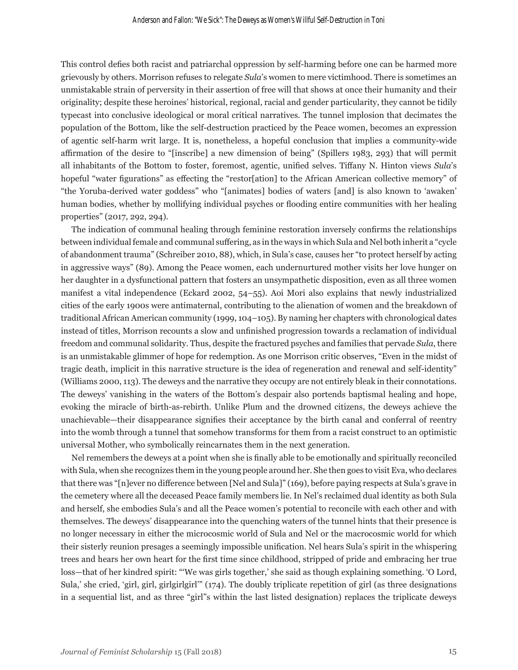This control defies both racist and patriarchal oppression by self-harming before one can be harmed more grievously by others. Morrison refuses to relegate *Sula*'s women to mere victimhood. There is sometimes an unmistakable strain of perversity in their assertion of free will that shows at once their humanity and their originality; despite these heroines' historical, regional, racial and gender particularity, they cannot be tidily typecast into conclusive ideological or moral critical narratives. The tunnel implosion that decimates the population of the Bottom, like the self-destruction practiced by the Peace women, becomes an expression of agentic self-harm writ large. It is, nonetheless, a hopeful conclusion that implies a community-wide affirmation of the desire to "[inscribe] a new dimension of being" (Spillers 1983, 293) that will permit all inhabitants of the Bottom to foster, foremost, agentic, unified selves. Tiffany N. Hinton views *Sula*'s hopeful "water figurations" as effecting the "restor[ation] to the African American collective memory" of "the Yoruba-derived water goddess" who "[animates] bodies of waters [and] is also known to 'awaken' human bodies, whether by mollifying individual psyches or flooding entire communities with her healing properties" (2017, 292, 294).

The indication of communal healing through feminine restoration inversely confirms the relationships between individual female and communal suffering, as in the ways in which Sula and Nel both inherit a "cycle of abandonment trauma" (Schreiber 2010, 88), which, in Sula's case, causes her "to protect herself by acting in aggressive ways" (89). Among the Peace women, each undernurtured mother visits her love hunger on her daughter in a dysfunctional pattern that fosters an unsympathetic disposition, even as all three women manifest a vital independence (Eckard 2002, 54–55). Aoi Mori also explains that newly industrialized cities of the early 1900s were antimaternal, contributing to the alienation of women and the breakdown of traditional African American community (1999, 104–105). By naming her chapters with chronological dates instead of titles, Morrison recounts a slow and unfinished progression towards a reclamation of individual freedom and communal solidarity. Thus, despite the fractured psyches and families that pervade *Sula*, there is an unmistakable glimmer of hope for redemption. As one Morrison critic observes, "Even in the midst of tragic death, implicit in this narrative structure is the idea of regeneration and renewal and self-identity" (Williams 2000, 113). The deweys and the narrative they occupy are not entirely bleak in their connotations. The deweys' vanishing in the waters of the Bottom's despair also portends baptismal healing and hope, evoking the miracle of birth-as-rebirth. Unlike Plum and the drowned citizens, the deweys achieve the unachievable—their disappearance signifies their acceptance by the birth canal and conferral of reentry into the womb through a tunnel that somehow transforms for them from a racist construct to an optimistic universal Mother, who symbolically reincarnates them in the next generation.

Nel remembers the deweys at a point when she is finally able to be emotionally and spiritually reconciled with Sula, when she recognizes them in the young people around her. She then goes to visit Eva, who declares that there was "[n]ever no difference between [Nel and Sula]" (169), before paying respects at Sula's grave in the cemetery where all the deceased Peace family members lie. In Nel's reclaimed dual identity as both Sula and herself, she embodies Sula's and all the Peace women's potential to reconcile with each other and with themselves. The deweys' disappearance into the quenching waters of the tunnel hints that their presence is no longer necessary in either the microcosmic world of Sula and Nel or the macrocosmic world for which their sisterly reunion presages a seemingly impossible unification. Nel hears Sula's spirit in the whispering trees and hears her own heart for the first time since childhood, stripped of pride and embracing her true loss—that of her kindred spirit: "'We was girls together,' she said as though explaining something. 'O Lord, Sula,' she cried, 'girl, girl, girlgirlgirl'" (174). The doubly triplicate repetition of girl (as three designations in a sequential list, and as three "girl"s within the last listed designation) replaces the triplicate deweys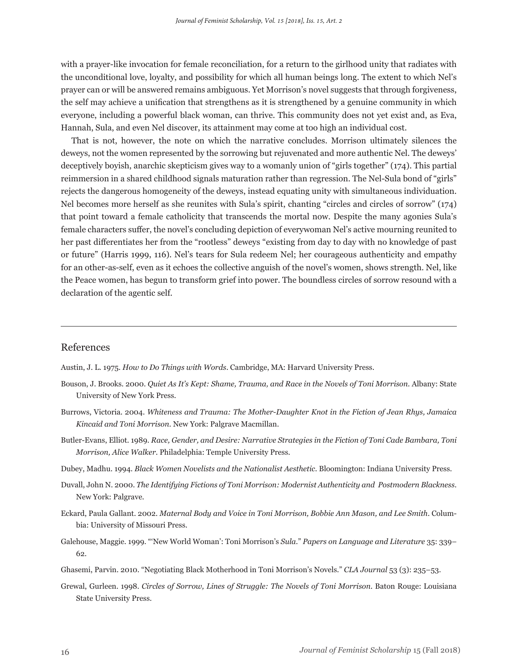with a prayer-like invocation for female reconciliation, for a return to the girlhood unity that radiates with the unconditional love, loyalty, and possibility for which all human beings long. The extent to which Nel's prayer can or will be answered remains ambiguous. Yet Morrison's novel suggests that through forgiveness, the self may achieve a unification that strengthens as it is strengthened by a genuine community in which everyone, including a powerful black woman, can thrive. This community does not yet exist and, as Eva, Hannah, Sula, and even Nel discover, its attainment may come at too high an individual cost.

That is not, however, the note on which the narrative concludes. Morrison ultimately silences the deweys, not the women represented by the sorrowing but rejuvenated and more authentic Nel. The deweys' deceptively boyish, anarchic skepticism gives way to a womanly union of "girls together" (174). This partial reimmersion in a shared childhood signals maturation rather than regression. The Nel-Sula bond of "girls" rejects the dangerous homogeneity of the deweys, instead equating unity with simultaneous individuation. Nel becomes more herself as she reunites with Sula's spirit, chanting "circles and circles of sorrow" (174) that point toward a female catholicity that transcends the mortal now. Despite the many agonies Sula's female characters suffer, the novel's concluding depiction of everywoman Nel's active mourning reunited to her past differentiates her from the "rootless" deweys "existing from day to day with no knowledge of past or future" (Harris 1999, 116). Nel's tears for Sula redeem Nel; her courageous authenticity and empathy for an other-as-self, even as it echoes the collective anguish of the novel's women, shows strength. Nel, like the Peace women, has begun to transform grief into power. The boundless circles of sorrow resound with a declaration of the agentic self.

#### References

Austin, J. L. 1975. *How to Do Things with Words*. Cambridge, MA: Harvard University Press.

- Bouson, J. Brooks. 2000. *Quiet As It's Kept: Shame, Trauma, and Race in the Novels of Toni Morrison.* Albany: State University of New York Press.
- Burrows, Victoria. 2004. *Whiteness and Trauma: The Mother-Daughter Knot in the Fiction of Jean Rhys, Jamaica Kincaid and Toni Morrison*. New York: Palgrave Macmillan.
- Butler-Evans, Elliot. 1989. *Race, Gender, and Desire: Narrative Strategies in the Fiction of Toni Cade Bambara, Toni Morrison, Alice Walker*. Philadelphia: Temple University Press.
- Dubey, Madhu. 1994. *Black Women Novelists and the Nationalist Aesthetic*. Bloomington: Indiana University Press.
- Duvall, John N. 2000. *The Identifying Fictions of Toni Morrison: Modernist Authenticity and Postmodern Blackness*. New York: Palgrave.
- Eckard, Paula Gallant. 2002. *Maternal Body and Voice in Toni Morrison, Bobbie Ann Mason, and Lee Smith*. Columbia: University of Missouri Press.
- Galehouse, Maggie. 1999. "'New World Woman': Toni Morrison's *Sula*." *Papers on Language and Literature* 35: 339– 62.
- Ghasemi, Parvin. 2010. "Negotiating Black Motherhood in Toni Morrison's Novels." *CLA Journal* 53 (3): 235–53.
- Grewal, Gurleen. 1998. *Circles of Sorrow, Lines of Struggle: The Novels of Toni Morrison*. Baton Rouge: Louisiana State University Press.